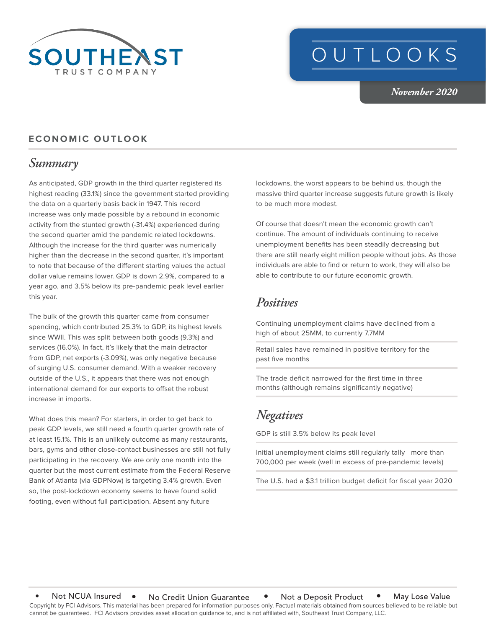

# OUTLOOKS

*November 2020*

### **ECONOMIC OUTLOOK**

# *Summary*

As anticipated, GDP growth in the third quarter registered its highest reading (33.1%) since the government started providing the data on a quarterly basis back in 1947. This record increase was only made possible by a rebound in economic activity from the stunted growth (-31.4%) experienced during the second quarter amid the pandemic related lockdowns. Although the increase for the third quarter was numerically higher than the decrease in the second quarter, it's important to note that because of the different starting values the actual dollar value remains lower. GDP is down 2.9%, compared to a year ago, and 3.5% below its pre-pandemic peak level earlier this year.

The bulk of the growth this quarter came from consumer spending, which contributed 25.3% to GDP, its highest levels since WWII. This was split between both goods (9.3%) and services (16.0%). In fact, it's likely that the main detractor from GDP, net exports (-3.09%), was only negative because of surging U.S. consumer demand. With a weaker recovery outside of the U.S., it appears that there was not enough international demand for our exports to offset the robust increase in imports.

What does this mean? For starters, in order to get back to peak GDP levels, we still need a fourth quarter growth rate of at least 15.1%. This is an unlikely outcome as many restaurants, bars, gyms and other close-contact businesses are still not fully participating in the recovery. We are only one month into the quarter but the most current estimate from the Federal Reserve Bank of Atlanta (via GDPNow) is targeting 3.4% growth. Even so, the post-lockdown economy seems to have found solid footing, even without full participation. Absent any future

lockdowns, the worst appears to be behind us, though the massive third quarter increase suggests future growth is likely to be much more modest.

Of course that doesn't mean the economic growth can't continue. The amount of individuals continuing to receive unemployment benefits has been steadily decreasing but there are still nearly eight million people without jobs. As those individuals are able to find or return to work, they will also be able to contribute to our future economic growth.

## *Positives*

Continuing unemployment claims have declined from a high of about 25MM, to currently 7.7MM

Retail sales have remained in positive territory for the past five months

The trade deficit narrowed for the first time in three months (although remains significantly negative)

# *Negatives*

GDP is still 3.5% below its peak level

Initial unemployment claims still regularly tally more than 700,000 per week (well in excess of pre-pandemic levels)

The U.S. had a \$3.1 trillion budget deficit for fiscal year 2020

Copyright by FCI Advisors. This material has been prepared for information purposes only. Factual materials obtained from sources believed to be reliable but cannot be guaranteed. FCI Advisors provides asset allocation guidance to, and is not affiliated with, Southeast Trust Company, LLC. Not NCUA Insured • No Credit Union Guarantee • Not a Deposit Product • May Lose Value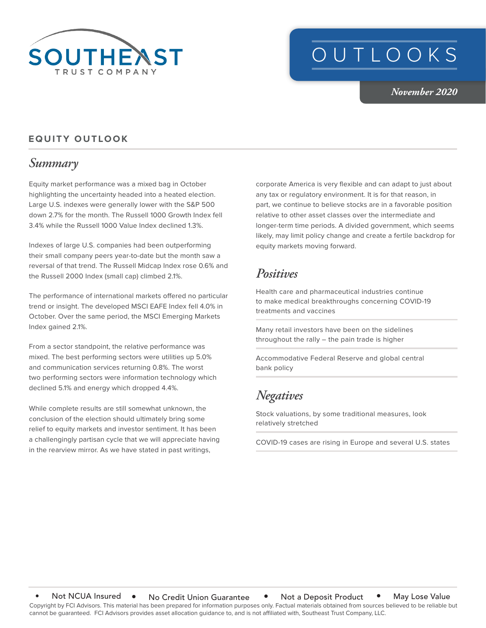

# OUTLOOKS

*November 2020*

#### **EQUITY OUTLOOK**

## *Summary*

Equity market performance was a mixed bag in October highlighting the uncertainty headed into a heated election. Large U.S. indexes were generally lower with the S&P 500 down 2.7% for the month. The Russell 1000 Growth Index fell 3.4% while the Russell 1000 Value Index declined 1.3%.

Indexes of large U.S. companies had been outperforming their small company peers year-to-date but the month saw a reversal of that trend. The Russell Midcap Index rose 0.6% and the Russell 2000 Index (small cap) climbed 2.1%.

The performance of international markets offered no particular trend or insight. The developed MSCI EAFE Index fell 4.0% in October. Over the same period, the MSCI Emerging Markets Index gained 2.1%.

From a sector standpoint, the relative performance was mixed. The best performing sectors were utilities up 5.0% and communication services returning 0.8%. The worst two performing sectors were information technology which declined 5.1% and energy which dropped 4.4%.

While complete results are still somewhat unknown, the conclusion of the election should ultimately bring some relief to equity markets and investor sentiment. It has been a challengingly partisan cycle that we will appreciate having in the rearview mirror. As we have stated in past writings,

corporate America is very flexible and can adapt to just about any tax or regulatory environment. It is for that reason, in part, we continue to believe stocks are in a favorable position relative to other asset classes over the intermediate and longer-term time periods. A divided government, which seems likely, may limit policy change and create a fertile backdrop for equity markets moving forward.

### *Positives*

Health care and pharmaceutical industries continue to make medical breakthroughs concerning COVID-19 treatments and vaccines

Many retail investors have been on the sidelines throughout the rally – the pain trade is higher

Accommodative Federal Reserve and global central bank policy

# *Negatives*

Stock valuations, by some traditional measures, look relatively stretched

COVID-19 cases are rising in Europe and several U.S. states